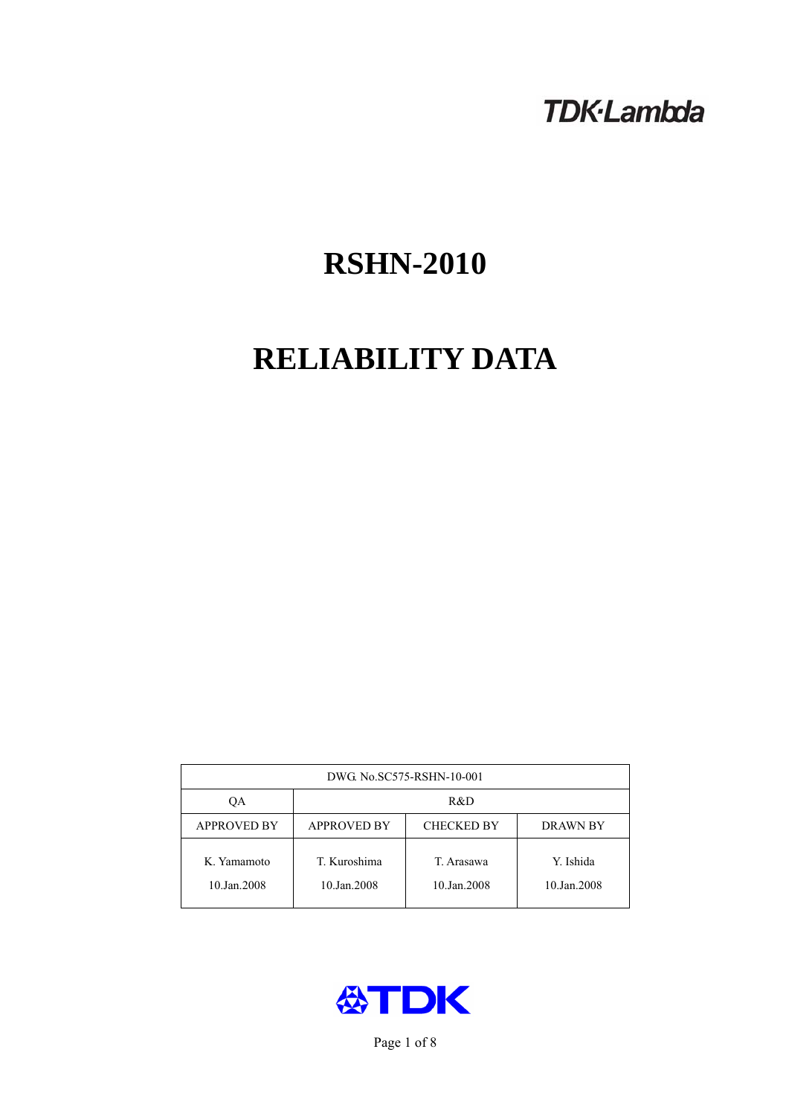# **TDK-Lambda**

# **RSHN-2010**

# **RELIABILITY DATA**

| DWG No.SC575-RSHN-10-001   |                                                            |                           |                          |  |  |
|----------------------------|------------------------------------------------------------|---------------------------|--------------------------|--|--|
| QA                         | R&D                                                        |                           |                          |  |  |
| <b>APPROVED BY</b>         | <b>APPROVED BY</b><br><b>CHECKED BY</b><br><b>DRAWN BY</b> |                           |                          |  |  |
| K. Yamamoto<br>10.Jan.2008 | T. Kuroshima<br>10.Jan.2008                                | T. Arasawa<br>10.Jan.2008 | Y. Ishida<br>10.Jan.2008 |  |  |



Page 1 of 8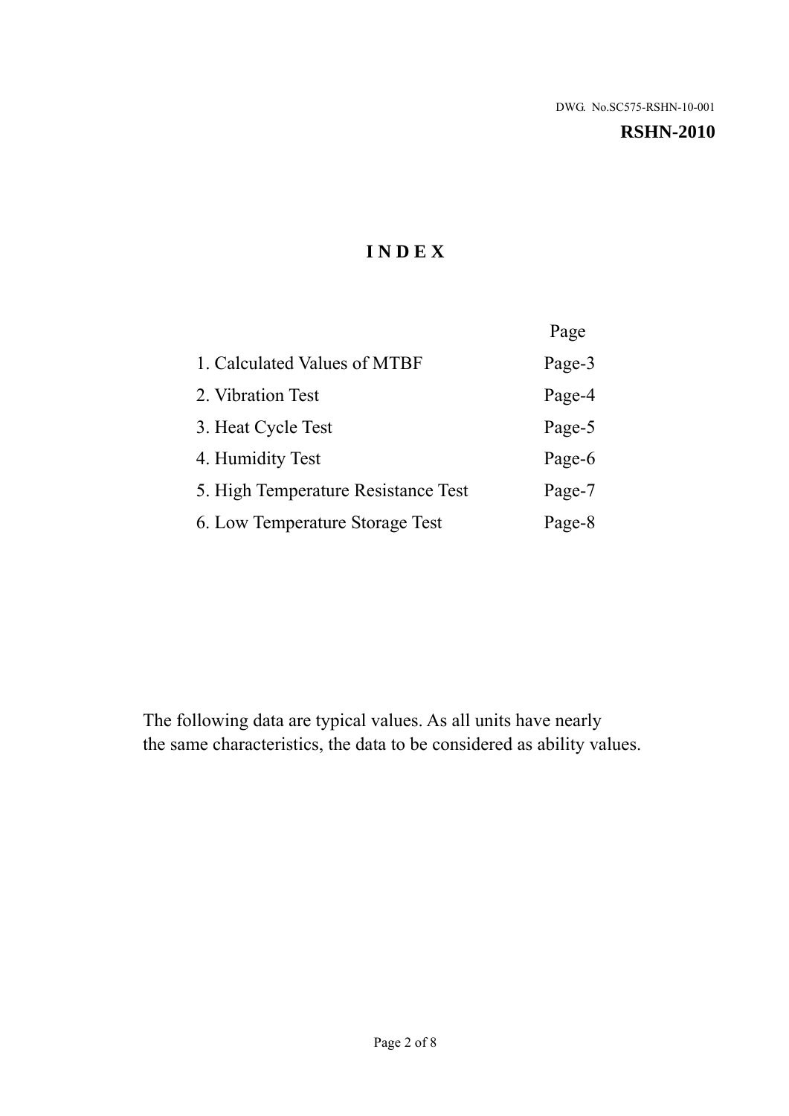#### **RSHN-2010**

# **I N D E X**

|                                     | Page   |
|-------------------------------------|--------|
| 1. Calculated Values of MTBF        | Page-3 |
| 2. Vibration Test                   | Page-4 |
| 3. Heat Cycle Test                  | Page-5 |
| 4. Humidity Test                    | Page-6 |
| 5. High Temperature Resistance Test | Page-7 |
| 6. Low Temperature Storage Test     | Page-8 |

The following data are typical values. As all units have nearly the same characteristics, the data to be considered as ability values.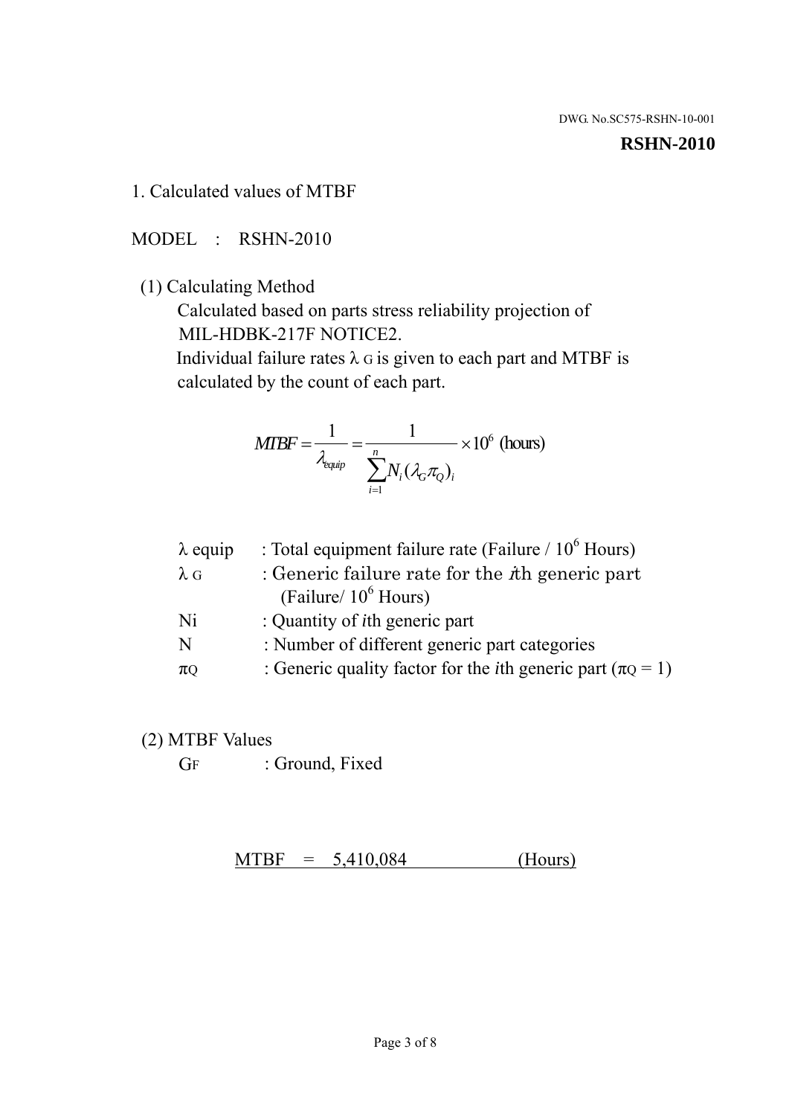#### **RSHN-2010**

1. Calculated values of MTBF

MODEL : RSHN-2010

(1) Calculating Method

 Calculated based on parts stress reliability projection of MIL-HDBK-217F NOTICE2.

Individual failure rates  $\lambda$  G is given to each part and MTBF is calculated by the count of each part.

$$
MIBF = \frac{1}{\lambda_{\text{equip}}} = \frac{1}{\sum_{i=1}^{n} N_i (\lambda_G \pi_Q)_i} \times 10^6 \text{ (hours)}
$$

| $\lambda$ equip | : Total equipment failure rate (Failure $/ 10^6$ Hours)                   |
|-----------------|---------------------------------------------------------------------------|
| $\lambda$ G     | : Generic failure rate for the $\hbar$ generic part                       |
|                 | (Failure/ $10^6$ Hours)                                                   |
| Ni              | : Quantity of <i>i</i> th generic part                                    |
| N               | : Number of different generic part categories                             |
| $\pi$ Q         | : Generic quality factor for the <i>i</i> th generic part ( $\pi Q = 1$ ) |

- (2) MTBF Values
	- GF : Ground, Fixed

 $MTBF = 5,410,084$  (Hours)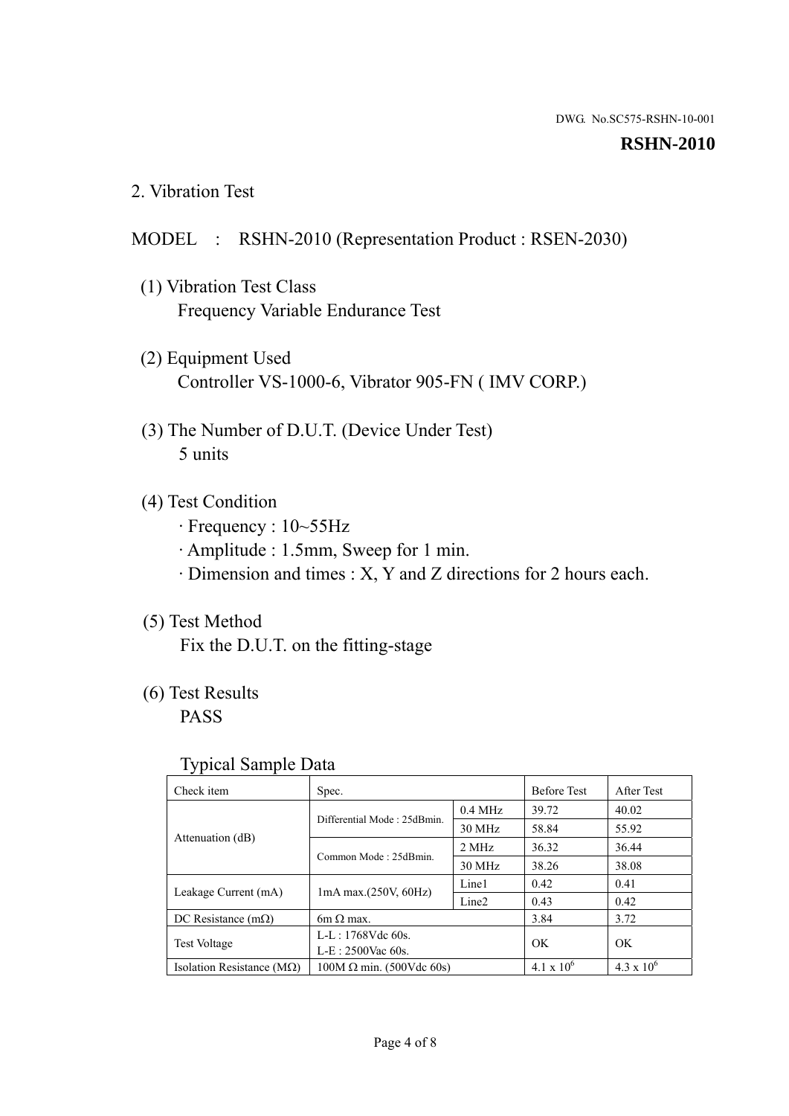#### **RSHN-2010**

2. Vibration Test

## MODEL : RSHN-2010 (Representation Product : RSEN-2030)

- (1) Vibration Test Class Frequency Variable Endurance Test
- (2) Equipment Used Controller VS-1000-6, Vibrator 905-FN ( IMV CORP.)
- (3) The Number of D.U.T. (Device Under Test) 5 units
- (4) Test Condition
	- · Frequency : 10~55Hz
	- · Amplitude : 1.5mm, Sweep for 1 min.
	- · Dimension and times : X, Y and Z directions for 2 hours each.

## (5) Test Method

Fix the D.U.T. on the fitting-stage

# (6) Test Results

PASS

#### Typical Sample Data

| . .                           |                                                         |           |                     |                     |
|-------------------------------|---------------------------------------------------------|-----------|---------------------|---------------------|
| Check item                    | Spec.                                                   |           | <b>Before Test</b>  | After Test          |
|                               | Differential Mode: 25dBmin.                             | $0.4$ MHz | 39.72               | 40.02               |
|                               |                                                         | 30 MHz    | 58.84               | 55.92               |
| Attenuation (dB)              | Common Mode: 25dBmin.                                   | 2 MHz     | 36.32               | 36.44               |
|                               |                                                         | 30 MHz    | 38.26               | 38.08               |
| Leakage Current (mA)          | Line1<br>$1mA$ max. $(250V, 60Hz)$<br>Line <sub>2</sub> |           | 0.42                | 0.41                |
|                               |                                                         | 0.43      | 0.42                |                     |
| DC Resistance $(m\Omega)$     | $6m \Omega$ max.                                        |           | 3.84                | 3.72                |
| <b>Test Voltage</b>           | $L-L: 1768Vdc$ 60s.                                     |           | OK                  | OK.                 |
|                               | $L-E$ : 2500Vac 60s.                                    |           |                     |                     |
| Isolation Resistance ( $MQ$ ) | $100M \Omega$ min. (500Vdc 60s)                         |           | $4.1 \times 10^{6}$ | $4.3 \times 10^{6}$ |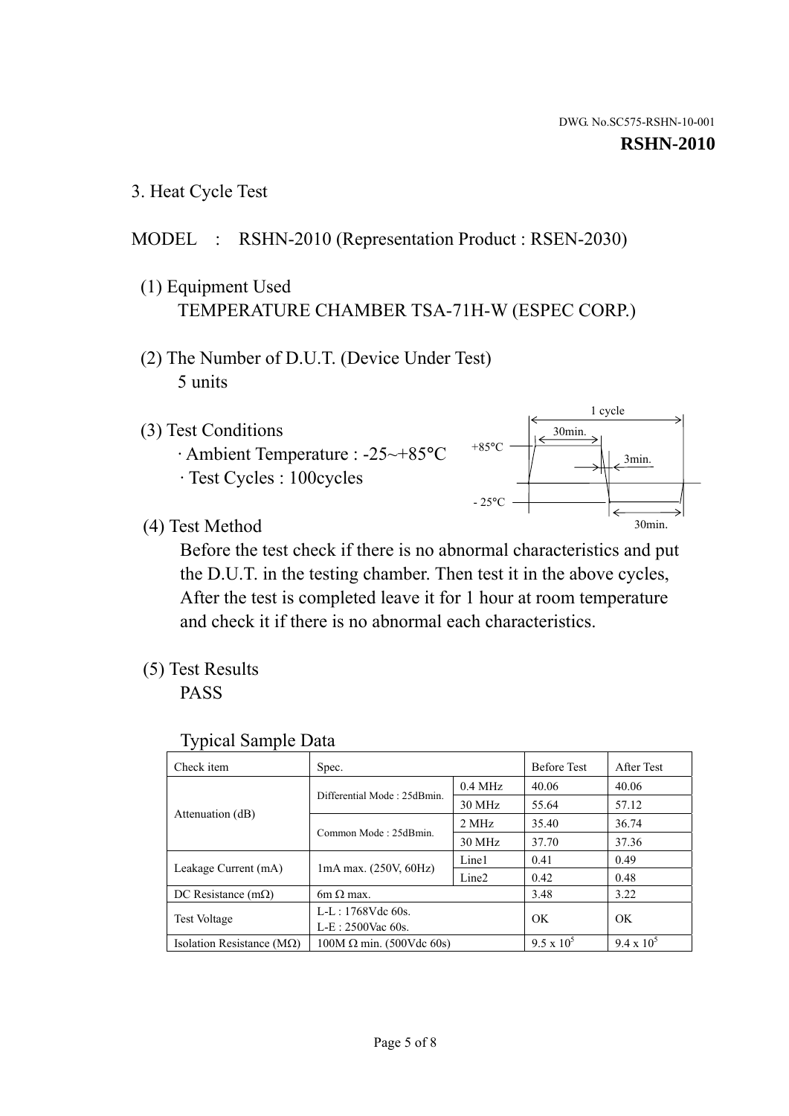1 cycle

30min.

3min.

30min.

3. Heat Cycle Test

### MODEL : RSHN-2010 (Representation Product : RSEN-2030)

- (1) Equipment Used TEMPERATURE CHAMBER TSA-71H-W (ESPEC CORP.)
- (2) The Number of D.U.T. (Device Under Test) 5 units
- (3) Test Conditions
	- · Ambient Temperature : -25~+85°C · Test Cycles : 100cycles



+85°C

(4) Test Method

 Before the test check if there is no abnormal characteristics and put the D.U.T. in the testing chamber. Then test it in the above cycles, After the test is completed leave it for 1 hour at room temperature and check it if there is no abnormal each characteristics.

(5) Test Results

PASS

| <b>Typical Sample Data</b> |  |  |
|----------------------------|--|--|
|                            |  |  |

| Check item                    | Spec.                                                   |           | <b>Before Test</b> | After Test        |
|-------------------------------|---------------------------------------------------------|-----------|--------------------|-------------------|
|                               | Differential Mode: 25dBmin.                             | $0.4$ MHz | 40.06              | 40.06             |
|                               |                                                         | 30 MHz    | 55.64              | 57.12             |
| Attenuation (dB)              | Common Mode: 25dBmin.                                   | 2 MHz     | 35.40              | 36.74             |
|                               |                                                         | 30 MHz    | 37.70              | 37.36             |
| Leakage Current (mA)          | Line1<br>$1mA$ max. $(250V, 60Hz)$<br>Line <sub>2</sub> |           | 0.41               | 0.49              |
|                               |                                                         | 0.42      | 0.48               |                   |
| DC Resistance $(m\Omega)$     | 6m $\Omega$ max.                                        |           | 3.48               | 3.22              |
| <b>Test Voltage</b>           | $L-L: 1768Vdc$ 60s.                                     |           | OK                 | OK                |
|                               | $L-E: 2500$ Vac 60s.                                    |           |                    |                   |
| Isolation Resistance ( $MQ$ ) | $100M \Omega$ min. (500Vdc 60s)                         |           | $9.5 \times 10^5$  | $9.4 \times 10^5$ |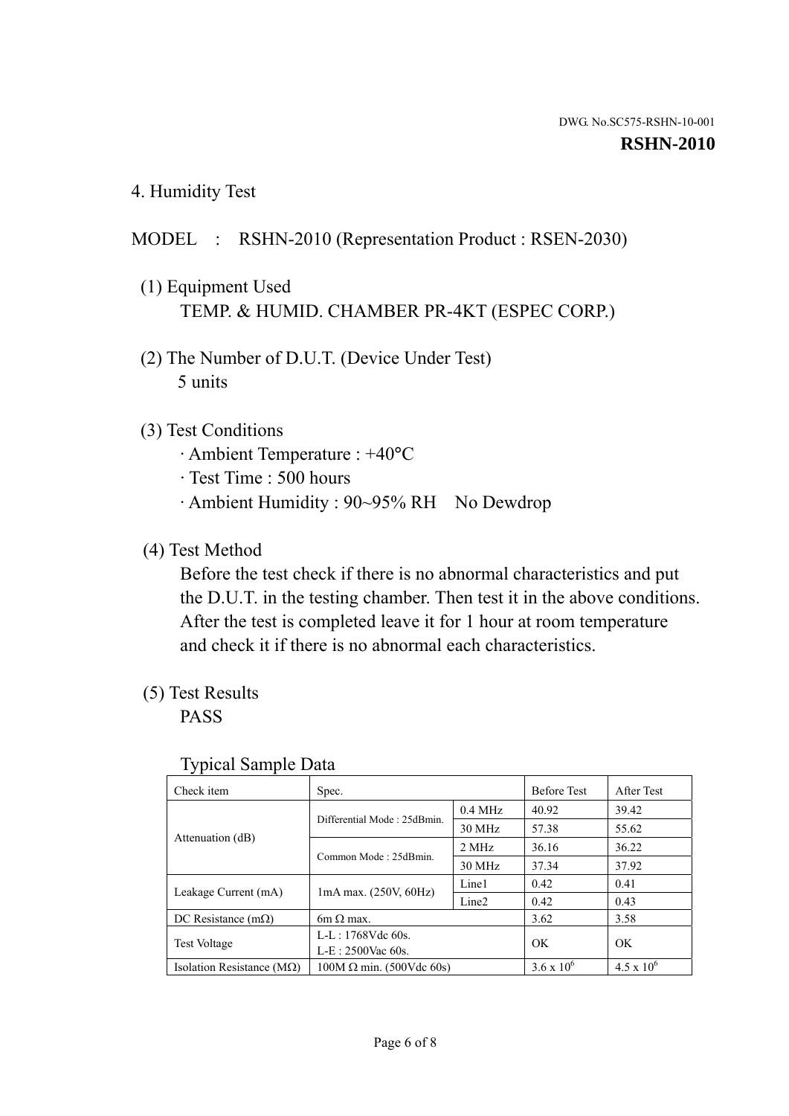4. Humidity Test

## MODEL : RSHN-2010 (Representation Product : RSEN-2030)

- (1) Equipment Used TEMP. & HUMID. CHAMBER PR-4KT (ESPEC CORP.)
- (2) The Number of D.U.T. (Device Under Test) 5 units

#### (3) Test Conditions

- · Ambient Temperature : +40°C
- · Test Time : 500 hours
- · Ambient Humidity : 90~95% RH No Dewdrop

### (4) Test Method

 Before the test check if there is no abnormal characteristics and put the D.U.T. in the testing chamber. Then test it in the above conditions. After the test is completed leave it for 1 hour at room temperature and check it if there is no abnormal each characteristics.

#### (5) Test Results

PASS

| ╯▴                                 |                                                         |           |                     |                     |
|------------------------------------|---------------------------------------------------------|-----------|---------------------|---------------------|
| Check item                         | Spec.                                                   |           | <b>Before Test</b>  | After Test          |
|                                    | Differential Mode: 25dBmin.                             | $0.4$ MHz | 40.92               | 39.42               |
|                                    |                                                         | 30 MHz    | 57.38               | 55.62               |
| Attenuation (dB)                   | Common Mode: 25dBmin.                                   | 2 MHz     | 36.16               | 36.22               |
|                                    |                                                         | 30 MHz    | 37.34               | 37.92               |
| Leakage Current (mA)               | Line1<br>$1mA$ max. $(250V, 60Hz)$<br>Line <sub>2</sub> |           | 0.42                | 0.41                |
|                                    |                                                         |           | 0.42                | 0.43                |
| DC Resistance $(m\Omega)$          | $6m \Omega$ max.                                        |           | 3.62                | 3.58                |
| <b>Test Voltage</b>                | $L-L: 1768Vdc$ 60s.                                     |           | OK                  | OK                  |
|                                    | $L-E: 2500$ Vac 60s.                                    |           |                     |                     |
| Isolation Resistance ( $M\Omega$ ) | $100M \Omega$ min. (500Vdc 60s)                         |           | $3.6 \times 10^{6}$ | $4.5 \times 10^{6}$ |

#### Typical Sample Data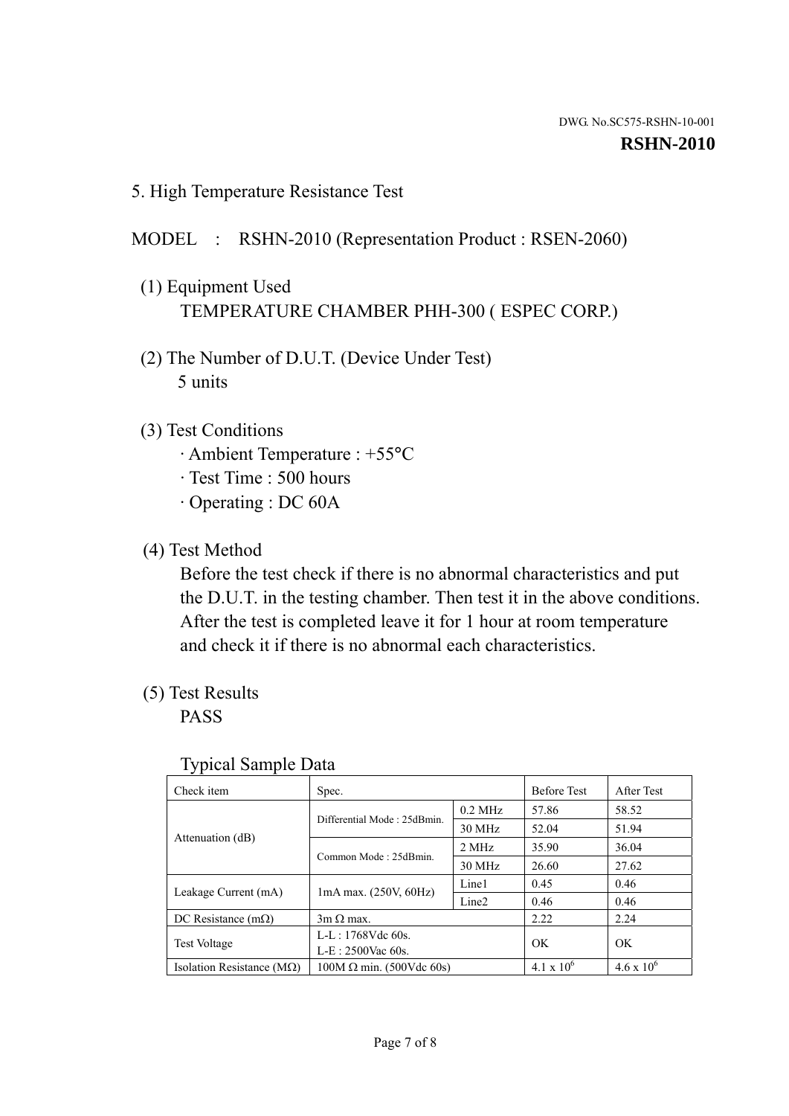5. High Temperature Resistance Test

#### MODEL : RSHN-2010 (Representation Product : RSEN-2060)

- (1) Equipment Used TEMPERATURE CHAMBER PHH-300 ( ESPEC CORP.)
- (2) The Number of D.U.T. (Device Under Test) 5 units
- (3) Test Conditions
	- · Ambient Temperature : +55°C
	- · Test Time : 500 hours
	- · Operating : DC 60A
- (4) Test Method

 Before the test check if there is no abnormal characteristics and put the D.U.T. in the testing chamber. Then test it in the above conditions. After the test is completed leave it for 1 hour at room temperature and check it if there is no abnormal each characteristics.

(5) Test Results

PASS

| ╯┸                                 |                                                         |           |                     |                     |
|------------------------------------|---------------------------------------------------------|-----------|---------------------|---------------------|
| Check item                         | Spec.                                                   |           | <b>Before Test</b>  | After Test          |
|                                    | Differential Mode: 25dBmin.                             | $0.2$ MHz | 57.86               | 58.52               |
|                                    |                                                         | 30 MHz    | 52.04               | 51.94               |
| Attenuation (dB)                   | Common Mode: 25dBmin.                                   | 2 MHz     | 35.90               | 36.04               |
|                                    |                                                         | 30 MHz    | 26.60               | 27.62               |
| Leakage Current (mA)               | Line1<br>$1mA$ max. $(250V, 60Hz)$<br>Line <sub>2</sub> |           | 0.45                | 0.46                |
|                                    |                                                         | 0.46      | 0.46                |                     |
| DC Resistance $(m\Omega)$          | $3m \Omega$ max.                                        |           | 2.22                | 2.24                |
| <b>Test Voltage</b>                | $L-L: 1768Vdc$ 60s.                                     |           | OK                  | OK                  |
|                                    | $L-E: 2500$ Vac 60s.                                    |           |                     |                     |
| Isolation Resistance ( $M\Omega$ ) | $100M \Omega$ min. (500Vdc 60s)                         |           | $4.1 \times 10^{6}$ | $4.6 \times 10^{6}$ |

#### Typical Sample Data